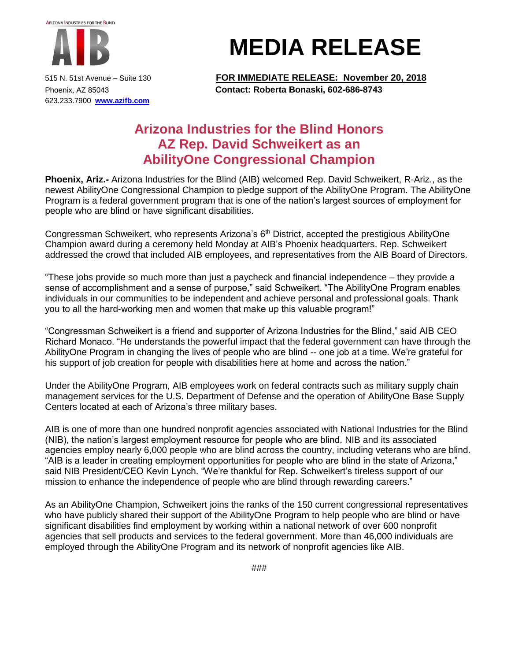

623.233.7900 **[www.azifb.com](http://www.azifb.com/)**

## **MEDIA RELEASE**

515 N. 51st Avenue – Suite 130 **FOR IMMEDIATE RELEASE: November 20, 2018** Phoenix, AZ 85043 **Contact: Roberta Bonaski, 602-686-8743**

## **Arizona Industries for the Blind Honors AZ Rep. David Schweikert as an AbilityOne Congressional Champion**

**Phoenix, Ariz.-** Arizona Industries for the Blind (AIB) welcomed Rep. David Schweikert, R-Ariz., as the newest AbilityOne Congressional Champion to pledge support of the AbilityOne Program. The AbilityOne Program is a federal government program that is one of the nation's largest sources of employment for people who are blind or have significant disabilities.

Congressman Schweikert, who represents Arizona's 6<sup>th</sup> District, accepted the prestigious AbilityOne Champion award during a ceremony held Monday at AIB's Phoenix headquarters. Rep. Schweikert addressed the crowd that included AIB employees, and representatives from the AIB Board of Directors.

"These jobs provide so much more than just a paycheck and financial independence – they provide a sense of accomplishment and a sense of purpose," said Schweikert. "The AbilityOne Program enables individuals in our communities to be independent and achieve personal and professional goals. Thank you to all the hard-working men and women that make up this valuable program!"

"Congressman Schweikert is a friend and supporter of Arizona Industries for the Blind," said AIB CEO Richard Monaco. "He understands the powerful impact that the federal government can have through the AbilityOne Program in changing the lives of people who are blind -- one job at a time. We're grateful for his support of job creation for people with disabilities here at home and across the nation."

Under the AbilityOne Program, AIB employees work on federal contracts such as military supply chain management services for the U.S. Department of Defense and the operation of AbilityOne Base Supply Centers located at each of Arizona's three military bases.

AIB is one of more than one hundred nonprofit agencies associated with National Industries for the Blind (NIB), the nation's largest employment resource for people who are blind. NIB and its associated agencies employ nearly 6,000 people who are blind across the country, including veterans who are blind. "AIB is a leader in creating employment opportunities for people who are blind in the state of Arizona," said NIB President/CEO Kevin Lynch. "We're thankful for Rep. Schweikert's tireless support of our mission to enhance the independence of people who are blind through rewarding careers."

As an AbilityOne Champion, Schweikert joins the ranks of the 150 current congressional representatives who have publicly shared their support of the AbilityOne Program to help people who are blind or have significant disabilities find employment by working within a national network of over 600 nonprofit agencies that sell products and services to the federal government. More than 46,000 individuals are employed through the AbilityOne Program and its network of nonprofit agencies like AIB.